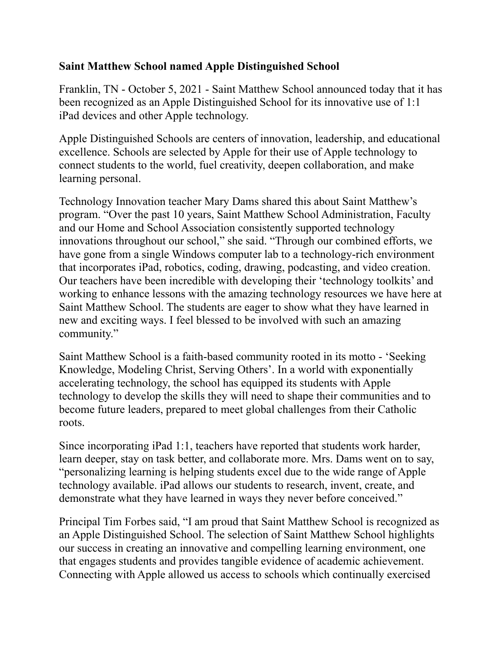## **Saint Matthew School named Apple Distinguished School**

Franklin, TN - October 5, 2021 - Saint Matthew School announced today that it has been recognized as an Apple Distinguished School for its innovative use of 1:1 iPad devices and other Apple technology.

Apple Distinguished Schools are centers of innovation, leadership, and educational excellence. Schools are selected by Apple for their use of Apple technology to connect students to the world, fuel creativity, deepen collaboration, and make learning personal.

Technology Innovation teacher Mary Dams shared this about Saint Matthew's program. "Over the past 10 years, Saint Matthew School Administration, Faculty and our Home and School Association consistently supported technology innovations throughout our school," she said. "Through our combined efforts, we have gone from a single Windows computer lab to a technology-rich environment that incorporates iPad, robotics, coding, drawing, podcasting, and video creation. Our teachers have been incredible with developing their 'technology toolkits' and working to enhance lessons with the amazing technology resources we have here at Saint Matthew School. The students are eager to show what they have learned in new and exciting ways. I feel blessed to be involved with such an amazing community."

Saint Matthew School is a faith-based community rooted in its motto - 'Seeking Knowledge, Modeling Christ, Serving Others'. In a world with exponentially accelerating technology, the school has equipped its students with Apple technology to develop the skills they will need to shape their communities and to become future leaders, prepared to meet global challenges from their Catholic roots.

Since incorporating iPad 1:1, teachers have reported that students work harder, learn deeper, stay on task better, and collaborate more. Mrs. Dams went on to say, "personalizing learning is helping students excel due to the wide range of Apple technology available. iPad allows our students to research, invent, create, and demonstrate what they have learned in ways they never before conceived."

Principal Tim Forbes said, "I am proud that Saint Matthew School is recognized as an Apple Distinguished School. The selection of Saint Matthew School highlights our success in creating an innovative and compelling learning environment, one that engages students and provides tangible evidence of academic achievement. Connecting with Apple allowed us access to schools which continually exercised